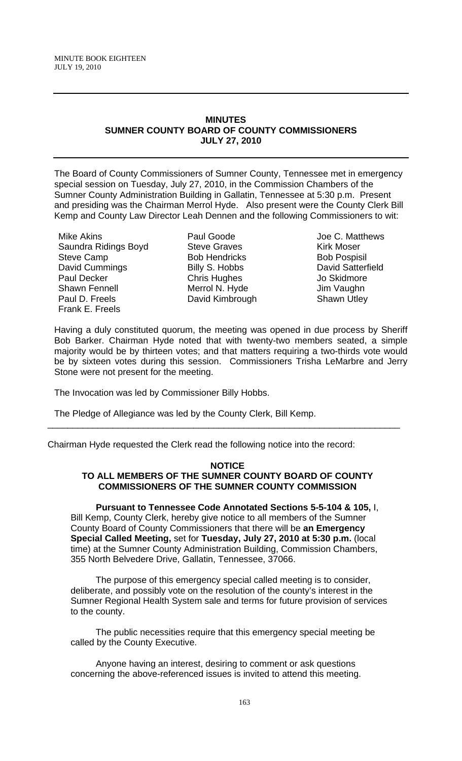# **MINUTES SUMNER COUNTY BOARD OF COUNTY COMMISSIONERS JULY 27, 2010**

The Board of County Commissioners of Sumner County, Tennessee met in emergency special session on Tuesday, July 27, 2010, in the Commission Chambers of the Sumner County Administration Building in Gallatin, Tennessee at 5:30 p.m. Present and presiding was the Chairman Merrol Hyde. Also present were the County Clerk Bill Kemp and County Law Director Leah Dennen and the following Commissioners to wit:

Mike Akins Saundra Ridings Boyd Steve Camp David Cummings Paul Decker Shawn Fennell Paul D. Freels Frank E. Freels

Paul Goode Steve Graves Bob Hendricks Billy S. Hobbs Chris Hughes Merrol N. Hyde David Kimbrough

Joe C. Matthews Kirk Moser Bob Pospisil David Satterfield Jo Skidmore Jim Vaughn Shawn Utley

Having a duly constituted quorum, the meeting was opened in due process by Sheriff Bob Barker. Chairman Hyde noted that with twenty-two members seated, a simple majority would be by thirteen votes; and that matters requiring a two-thirds vote would be by sixteen votes during this session. Commissioners Trisha LeMarbre and Jerry Stone were not present for the meeting.

The Invocation was led by Commissioner Billy Hobbs.

The Pledge of Allegiance was led by the County Clerk, Bill Kemp.

Chairman Hyde requested the Clerk read the following notice into the record:

#### **NOTICE TO ALL MEMBERS OF THE SUMNER COUNTY BOARD OF COUNTY COMMISSIONERS OF THE SUMNER COUNTY COMMISSION**

\_\_\_\_\_\_\_\_\_\_\_\_\_\_\_\_\_\_\_\_\_\_\_\_\_\_\_\_\_\_\_\_\_\_\_\_\_\_\_\_\_\_\_\_\_\_\_\_\_\_\_\_\_\_\_\_\_\_\_\_\_\_\_\_\_\_\_\_\_\_

 **Pursuant to Tennessee Code Annotated Sections 5-5-104 & 105,** I, Bill Kemp, County Clerk, hereby give notice to all members of the Sumner County Board of County Commissioners that there will be **an Emergency Special Called Meeting,** set for **Tuesday, July 27, 2010 at 5:30 p.m.** (local time) at the Sumner County Administration Building, Commission Chambers, 355 North Belvedere Drive, Gallatin, Tennessee, 37066.

 The purpose of this emergency special called meeting is to consider, deliberate, and possibly vote on the resolution of the county's interest in the Sumner Regional Health System sale and terms for future provision of services to the county.

 The public necessities require that this emergency special meeting be called by the County Executive.

 Anyone having an interest, desiring to comment or ask questions concerning the above-referenced issues is invited to attend this meeting.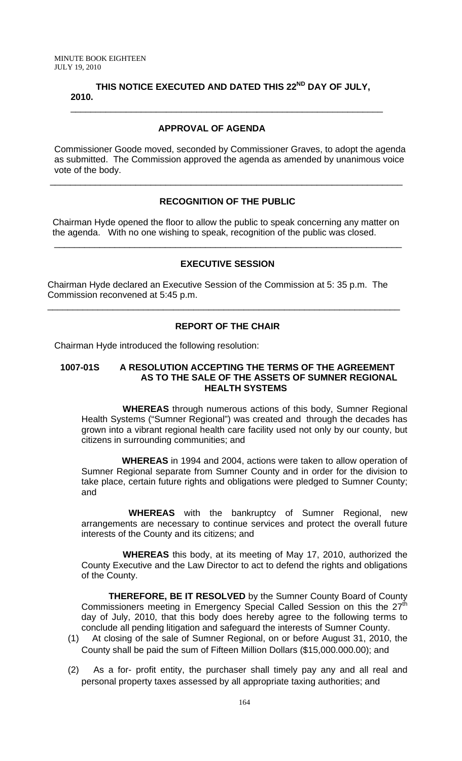# **THIS NOTICE EXECUTED AND DATED THIS 22ND DAY OF JULY, 2010.**  \_\_\_\_\_\_\_\_\_\_\_\_\_\_\_\_\_\_\_\_\_\_\_\_\_\_\_\_\_\_\_\_\_\_\_\_\_\_\_\_\_\_\_\_\_\_\_\_\_\_\_\_\_\_\_\_\_\_\_\_\_\_

# **APPROVAL OF AGENDA**

Commissioner Goode moved, seconded by Commissioner Graves, to adopt the agenda as submitted. The Commission approved the agenda as amended by unanimous voice vote of the body.

# **RECOGNITION OF THE PUBLIC**

\_\_\_\_\_\_\_\_\_\_\_\_\_\_\_\_\_\_\_\_\_\_\_\_\_\_\_\_\_\_\_\_\_\_\_\_\_\_\_\_\_\_\_\_\_\_\_\_\_\_\_\_\_\_\_\_\_\_\_\_\_\_\_\_\_\_\_\_\_\_

 Chairman Hyde opened the floor to allow the public to speak concerning any matter on the agenda. With no one wishing to speak, recognition of the public was closed.

### **EXECUTIVE SESSION**

\_\_\_\_\_\_\_\_\_\_\_\_\_\_\_\_\_\_\_\_\_\_\_\_\_\_\_\_\_\_\_\_\_\_\_\_\_\_\_\_\_\_\_\_\_\_\_\_\_\_\_\_\_\_\_\_\_\_\_\_\_\_\_\_\_\_\_\_\_

Chairman Hyde declared an Executive Session of the Commission at 5: 35 p.m. The Commission reconvened at 5:45 p.m.

# **REPORT OF THE CHAIR**

\_\_\_\_\_\_\_\_\_\_\_\_\_\_\_\_\_\_\_\_\_\_\_\_\_\_\_\_\_\_\_\_\_\_\_\_\_\_\_\_\_\_\_\_\_\_\_\_\_\_\_\_\_\_\_\_\_\_\_\_\_\_\_\_\_\_\_\_\_\_

Chairman Hyde introduced the following resolution:

#### **1007-01S A RESOLUTION ACCEPTING THE TERMS OF THE AGREEMENT AS TO THE SALE OF THE ASSETS OF SUMNER REGIONAL HEALTH SYSTEMS**

 **WHEREAS** through numerous actions of this body, Sumner Regional Health Systems ("Sumner Regional") was created and through the decades has grown into a vibrant regional health care facility used not only by our county, but citizens in surrounding communities; and

 **WHEREAS** in 1994 and 2004, actions were taken to allow operation of Sumner Regional separate from Sumner County and in order for the division to take place, certain future rights and obligations were pledged to Sumner County; and

 **WHEREAS** with the bankruptcy of Sumner Regional, new arrangements are necessary to continue services and protect the overall future interests of the County and its citizens; and

 **WHEREAS** this body, at its meeting of May 17, 2010, authorized the County Executive and the Law Director to act to defend the rights and obligations of the County.

**THEREFORE, BE IT RESOLVED** by the Sumner County Board of County Commissioners meeting in Emergency Special Called Session on this the 27<sup>th</sup> day of July, 2010, that this body does hereby agree to the following terms to conclude all pending litigation and safeguard the interests of Sumner County.

- (1) At closing of the sale of Sumner Regional, on or before August 31, 2010, the County shall be paid the sum of Fifteen Million Dollars (\$15,000.000.00); and
- (2) As a for- profit entity, the purchaser shall timely pay any and all real and personal property taxes assessed by all appropriate taxing authorities; and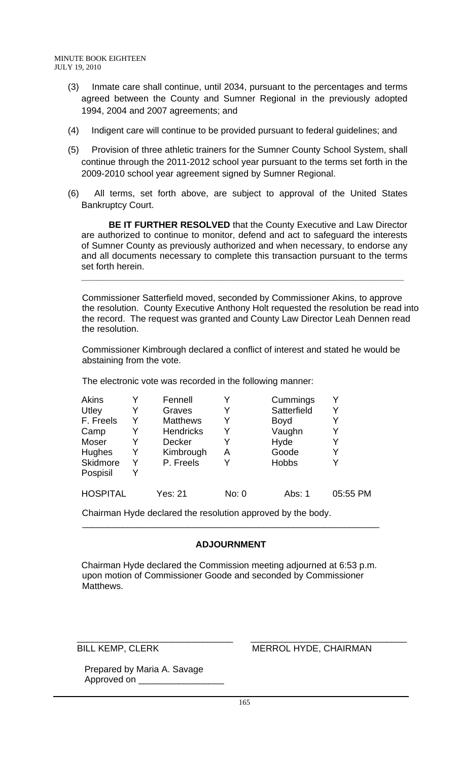- (3) Inmate care shall continue, until 2034, pursuant to the percentages and terms agreed between the County and Sumner Regional in the previously adopted 1994, 2004 and 2007 agreements; and
- (4) Indigent care will continue to be provided pursuant to federal guidelines; and
- (5) Provision of three athletic trainers for the Sumner County School System, shall continue through the 2011-2012 school year pursuant to the terms set forth in the 2009-2010 school year agreement signed by Sumner Regional.
- (6) All terms, set forth above, are subject to approval of the United States Bankruptcy Court.

**BE IT FURTHER RESOLVED** that the County Executive and Law Director are authorized to continue to monitor, defend and act to safeguard the interests of Sumner County as previously authorized and when necessary, to endorse any and all documents necessary to complete this transaction pursuant to the terms set forth herein.

**\_\_\_\_\_\_\_\_\_\_\_\_\_\_\_\_\_\_\_\_\_\_\_\_\_\_\_\_\_\_\_\_\_\_\_\_\_\_\_\_\_\_\_\_\_\_\_\_\_\_\_\_\_\_\_\_\_\_\_\_\_\_\_\_**

 Commissioner Satterfield moved, seconded by Commissioner Akins, to approve the resolution. County Executive Anthony Holt requested the resolution be read into the record. The request was granted and County Law Director Leah Dennen read the resolution.

 Commissioner Kimbrough declared a conflict of interest and stated he would be abstaining from the vote.

The electronic vote was recorded in the following manner:

| Akins           |   | Fennell          |       | Cummings     |          |
|-----------------|---|------------------|-------|--------------|----------|
| Utley           | Y | Graves           |       | Satterfield  |          |
| F. Freels       | Y | <b>Matthews</b>  |       | <b>Boyd</b>  |          |
| Camp            | Y | <b>Hendricks</b> |       | Vaughn       |          |
| Moser           | Y | <b>Decker</b>    | Y     | Hyde         |          |
| Hughes          | Y | Kimbrough        | Α     | Goode        |          |
| Skidmore        | Y | P. Freels        |       | <b>Hobbs</b> |          |
| Pospisil        | Y |                  |       |              |          |
| <b>HOSPITAL</b> |   | <b>Yes: 21</b>   | No: 0 | Abs: 1       | 05:55 PM |

Chairman Hyde declared the resolution approved by the body.

# **ADJOURNMENT**

 $\overline{\phantom{a}}$  , and the contract of the contract of the contract of the contract of the contract of the contract of the contract of the contract of the contract of the contract of the contract of the contract of the contrac

 Chairman Hyde declared the Commission meeting adjourned at 6:53 p.m. upon motion of Commissioner Goode and seconded by Commissioner Matthews.

 $\overline{\phantom{a}}$  , and the contribution of the contribution of  $\overline{\phantom{a}}$  , and  $\overline{\phantom{a}}$  , and  $\overline{\phantom{a}}$  , and  $\overline{\phantom{a}}$  , and  $\overline{\phantom{a}}$  , and  $\overline{\phantom{a}}$  , and  $\overline{\phantom{a}}$  , and  $\overline{\phantom{a}}$  , and  $\overline{\phantom{a}}$  , and

# BILL KEMP, CLERK MERROL HYDE, CHAIRMAN

 Prepared by Maria A. Savage Approved on \_